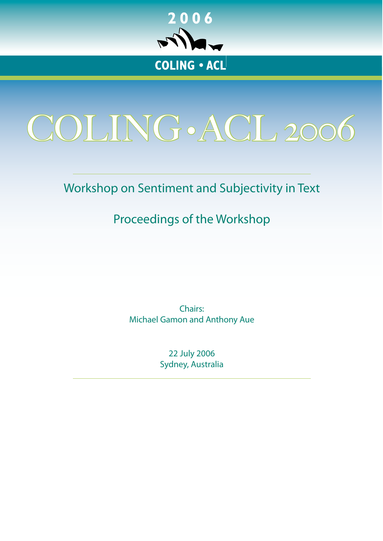

<span id="page-0-0"></span>

# Workshop on Sentiment and Subjectivity in Text

# Proceedings of the Workshop

Chairs: Michael Gamon and Anthony Aue

> 22 July 2006 Sydney, Australia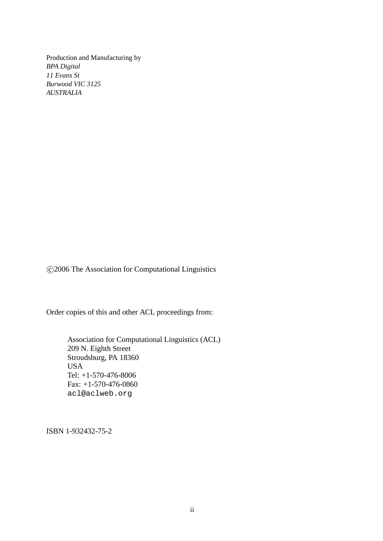Production and Manufacturing by *BPA Digital 11 Evans St Burwood VIC 3125 AUSTRALIA*

c 2006 The Association for Computational Linguistics

Order copies of this and other ACL proceedings from:

Association for Computational Linguistics (ACL) 209 N. Eighth Street Stroudsburg, PA 18360 USA Tel: +1-570-476-8006 Fax: +1-570-476-0860 acl@aclweb.org

ISBN 1-932432-75-2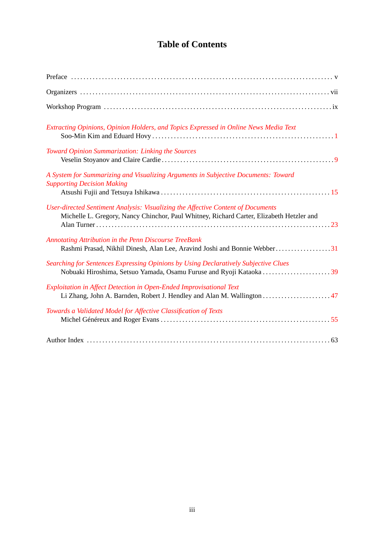## **Table of Contents**

| Extracting Opinions, Opinion Holders, and Topics Expressed in Online News Media Text                                                                                         |
|------------------------------------------------------------------------------------------------------------------------------------------------------------------------------|
| Toward Opinion Summarization: Linking the Sources                                                                                                                            |
| A System for Summarizing and Visualizing Arguments in Subjective Documents: Toward<br><b>Supporting Decision Making</b>                                                      |
| User-directed Sentiment Analysis: Visualizing the Affective Content of Documents<br>Michelle L. Gregory, Nancy Chinchor, Paul Whitney, Richard Carter, Elizabeth Hetzler and |
| Annotating Attribution in the Penn Discourse TreeBank                                                                                                                        |
| Searching for Sentences Expressing Opinions by Using Declaratively Subjective Clues<br>Nobuaki Hiroshima, Setsuo Yamada, Osamu Furuse and Ryoji Kataoka 39                   |
| Exploitation in Affect Detection in Open-Ended Improvisational Text                                                                                                          |
| Towards a Validated Model for Affective Classification of Texts                                                                                                              |
|                                                                                                                                                                              |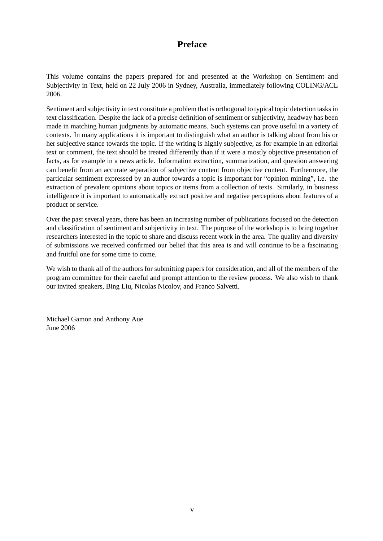## **Preface**

This volume contains the papers prepared for and presented at the Workshop on Sentiment and Subjectivity in Text, held on 22 July 2006 in Sydney, Australia, immediately following COLING/ACL 2006.

Sentiment and subjectivity in text constitute a problem that is orthogonal to typical topic detection tasks in text classification. Despite the lack of a precise definition of sentiment or subjectivity, headway has been made in matching human judgments by automatic means. Such systems can prove useful in a variety of contexts. In many applications it is important to distinguish what an author is talking about from his or her subjective stance towards the topic. If the writing is highly subjective, as for example in an editorial text or comment, the text should be treated differently than if it were a mostly objective presentation of facts, as for example in a news article. Information extraction, summarization, and question answering can benefit from an accurate separation of subjective content from objective content. Furthermore, the particular sentiment expressed by an author towards a topic is important for "opinion mining", i.e. the extraction of prevalent opinions about topics or items from a collection of texts. Similarly, in business intelligence it is important to automatically extract positive and negative perceptions about features of a product or service.

Over the past several years, there has been an increasing number of publications focused on the detection and classification of sentiment and subjectivity in text. The purpose of the workshop is to bring together researchers interested in the topic to share and discuss recent work in the area. The quality and diversity of submissions we received confirmed our belief that this area is and will continue to be a fascinating and fruitful one for some time to come.

We wish to thank all of the authors for submitting papers for consideration, and all of the members of the program committee for their careful and prompt attention to the review process. We also wish to thank our invited speakers, Bing Liu, Nicolas Nicolov, and Franco Salvetti.

Michael Gamon and Anthony Aue June 2006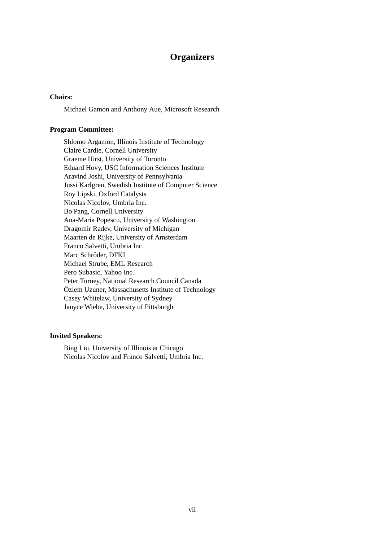### **Organizers**

#### **Chairs:**

Michael Gamon and Anthony Aue, Microsoft Research

#### **Program Committee:**

Shlomo Argamon, Illinois Institute of Technology Claire Cardie, Cornell University Graeme Hirst, University of Toronto Eduard Hovy, USC Information Sciences Institute Aravind Joshi, University of Pennsylvania Jussi Karlgren, Swedish Institute of Computer Science Roy Lipski, Oxford Catalysts Nicolas Nicolov, Umbria Inc. Bo Pang, Cornell University Ana-Maria Popescu, University of Washington Dragomir Radev, University of Michigan Maarten de Rijke, University of Amsterdam Franco Salvetti, Umbria Inc. Marc Schröder, DFKI Michael Strube, EML Research Pero Subasic, Yahoo Inc. Peter Turney, National Research Council Canada Özlem Uzuner, Massachusetts Institute of Technology Casey Whitelaw, University of Sydney Janyce Wiebe, University of Pittsburgh

#### **Invited Speakers:**

Bing Liu, University of Illinois at Chicago Nicolas Nicolov and Franco Salvetti, Umbria Inc.